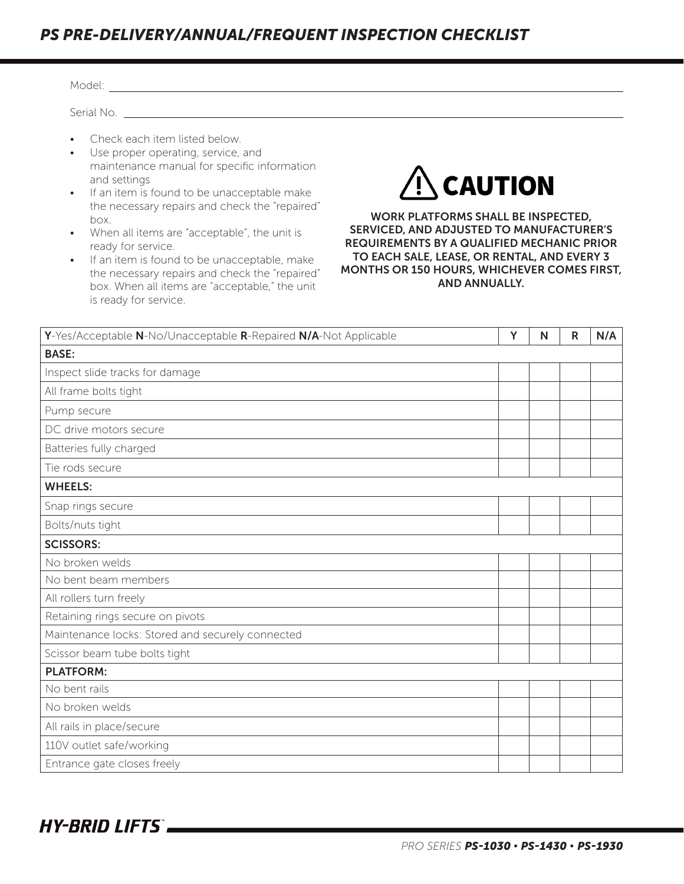## *PS PRE-DELIVERY/ANNUAL/FREQUENT INSPECTION CHECKLIST*

| Model: <b>Model</b> Service Service Service Service Service Service Service Service Service Service Service Service Service Service Service Service Service Service Service Service Service Service Service Service Service Service                                                                                                                                                                                                                                                                                                                                                                                                                                                                                                                                                                                  |  |   |   |   |     |  |  |  |  |
|----------------------------------------------------------------------------------------------------------------------------------------------------------------------------------------------------------------------------------------------------------------------------------------------------------------------------------------------------------------------------------------------------------------------------------------------------------------------------------------------------------------------------------------------------------------------------------------------------------------------------------------------------------------------------------------------------------------------------------------------------------------------------------------------------------------------|--|---|---|---|-----|--|--|--|--|
| Serial No.                                                                                                                                                                                                                                                                                                                                                                                                                                                                                                                                                                                                                                                                                                                                                                                                           |  |   |   |   |     |  |  |  |  |
| Check each item listed below.<br>Use proper operating, service, and<br>$\bullet$<br>maintenance manual for specific information<br><b>CAUTION</b><br>and settings<br>If an item is found to be unacceptable make<br>$\bullet$<br>the necessary repairs and check the "repaired"<br>WORK PLATFORMS SHALL BE INSPECTED,<br>box.<br>SERVICED, AND ADJUSTED TO MANUFACTURER'S<br>When all items are "acceptable", the unit is<br><b>REQUIREMENTS BY A QUALIFIED MECHANIC PRIOR</b><br>ready for service.<br>TO EACH SALE, LEASE, OR RENTAL, AND EVERY 3<br>If an item is found to be unacceptable, make<br>$\bullet$<br>MONTHS OR 150 HOURS, WHICHEVER COMES FIRST,<br>the necessary repairs and check the "repaired"<br><b>AND ANNUALLY.</b><br>box. When all items are "acceptable," the unit<br>is ready for service. |  |   |   |   |     |  |  |  |  |
| Y-Yes/Acceptable N-No/Unacceptable R-Repaired N/A-Not Applicable                                                                                                                                                                                                                                                                                                                                                                                                                                                                                                                                                                                                                                                                                                                                                     |  | Y | N | R | N/A |  |  |  |  |
| <b>BASE:</b>                                                                                                                                                                                                                                                                                                                                                                                                                                                                                                                                                                                                                                                                                                                                                                                                         |  |   |   |   |     |  |  |  |  |
| Inspect slide tracks for damage                                                                                                                                                                                                                                                                                                                                                                                                                                                                                                                                                                                                                                                                                                                                                                                      |  |   |   |   |     |  |  |  |  |
| All frame bolts tight                                                                                                                                                                                                                                                                                                                                                                                                                                                                                                                                                                                                                                                                                                                                                                                                |  |   |   |   |     |  |  |  |  |
| Pump secure                                                                                                                                                                                                                                                                                                                                                                                                                                                                                                                                                                                                                                                                                                                                                                                                          |  |   |   |   |     |  |  |  |  |
| DC drive motors secure                                                                                                                                                                                                                                                                                                                                                                                                                                                                                                                                                                                                                                                                                                                                                                                               |  |   |   |   |     |  |  |  |  |
| Batteries fully charged                                                                                                                                                                                                                                                                                                                                                                                                                                                                                                                                                                                                                                                                                                                                                                                              |  |   |   |   |     |  |  |  |  |
| Tie rods secure                                                                                                                                                                                                                                                                                                                                                                                                                                                                                                                                                                                                                                                                                                                                                                                                      |  |   |   |   |     |  |  |  |  |
| <b>WHEELS:</b>                                                                                                                                                                                                                                                                                                                                                                                                                                                                                                                                                                                                                                                                                                                                                                                                       |  |   |   |   |     |  |  |  |  |
| Snap rings secure                                                                                                                                                                                                                                                                                                                                                                                                                                                                                                                                                                                                                                                                                                                                                                                                    |  |   |   |   |     |  |  |  |  |
| Bolts/nuts tight                                                                                                                                                                                                                                                                                                                                                                                                                                                                                                                                                                                                                                                                                                                                                                                                     |  |   |   |   |     |  |  |  |  |
| <b>SCISSORS:</b>                                                                                                                                                                                                                                                                                                                                                                                                                                                                                                                                                                                                                                                                                                                                                                                                     |  |   |   |   |     |  |  |  |  |
| No broken welds                                                                                                                                                                                                                                                                                                                                                                                                                                                                                                                                                                                                                                                                                                                                                                                                      |  |   |   |   |     |  |  |  |  |
| No bent beam members                                                                                                                                                                                                                                                                                                                                                                                                                                                                                                                                                                                                                                                                                                                                                                                                 |  |   |   |   |     |  |  |  |  |
| All rollers turn freely                                                                                                                                                                                                                                                                                                                                                                                                                                                                                                                                                                                                                                                                                                                                                                                              |  |   |   |   |     |  |  |  |  |
| Retaining rings secure on pivots                                                                                                                                                                                                                                                                                                                                                                                                                                                                                                                                                                                                                                                                                                                                                                                     |  |   |   |   |     |  |  |  |  |
| Maintenance locks: Stored and securely connected                                                                                                                                                                                                                                                                                                                                                                                                                                                                                                                                                                                                                                                                                                                                                                     |  |   |   |   |     |  |  |  |  |
| Scissor beam tube bolts tight                                                                                                                                                                                                                                                                                                                                                                                                                                                                                                                                                                                                                                                                                                                                                                                        |  |   |   |   |     |  |  |  |  |
| <b>PLATFORM:</b>                                                                                                                                                                                                                                                                                                                                                                                                                                                                                                                                                                                                                                                                                                                                                                                                     |  |   |   |   |     |  |  |  |  |
| No bent rails                                                                                                                                                                                                                                                                                                                                                                                                                                                                                                                                                                                                                                                                                                                                                                                                        |  |   |   |   |     |  |  |  |  |
| No broken welds                                                                                                                                                                                                                                                                                                                                                                                                                                                                                                                                                                                                                                                                                                                                                                                                      |  |   |   |   |     |  |  |  |  |
| All rails in place/secure                                                                                                                                                                                                                                                                                                                                                                                                                                                                                                                                                                                                                                                                                                                                                                                            |  |   |   |   |     |  |  |  |  |
| 110V outlet safe/working                                                                                                                                                                                                                                                                                                                                                                                                                                                                                                                                                                                                                                                                                                                                                                                             |  |   |   |   |     |  |  |  |  |
| Entrance gate closes freely                                                                                                                                                                                                                                                                                                                                                                                                                                                                                                                                                                                                                                                                                                                                                                                          |  |   |   |   |     |  |  |  |  |

**HY-BRID LIFTS**